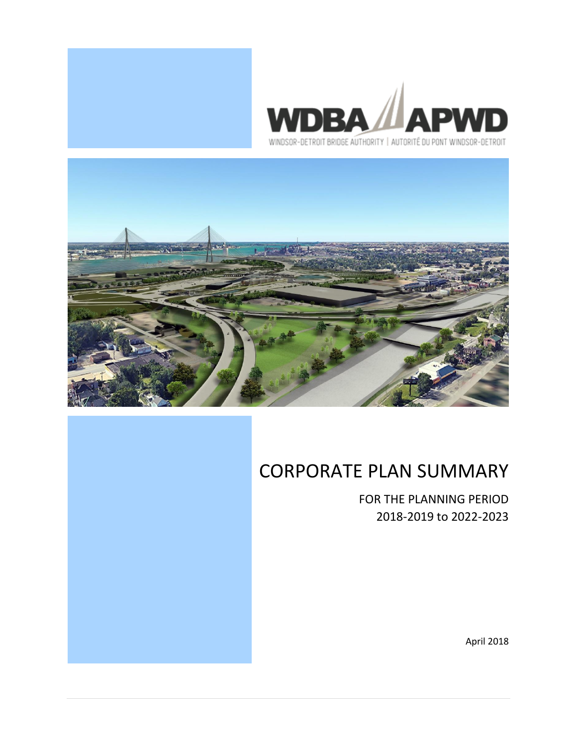





# CORPORATE PLAN SUMMARY

FOR THE PLANNING PERIOD 2018-2019 to 2022-2023

April 2018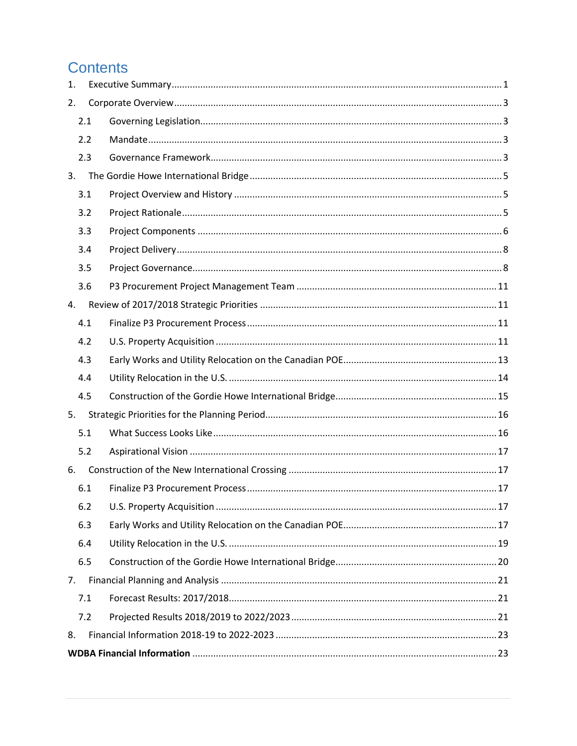## **Contents**

| 1. |     |  |
|----|-----|--|
| 2. |     |  |
|    | 2.1 |  |
|    | 2.2 |  |
|    | 2.3 |  |
| 3. |     |  |
|    | 3.1 |  |
|    | 3.2 |  |
|    | 3.3 |  |
|    | 3.4 |  |
|    | 3.5 |  |
|    | 3.6 |  |
| 4. |     |  |
|    | 4.1 |  |
|    | 4.2 |  |
|    | 4.3 |  |
|    | 4.4 |  |
|    | 4.5 |  |
| 5. |     |  |
|    | 5.1 |  |
|    | 5.2 |  |
| 6. |     |  |
|    | 6.1 |  |
|    | 6.2 |  |
|    | 6.3 |  |
|    | 6.4 |  |
|    | 6.5 |  |
| 7. |     |  |
|    | 7.1 |  |
|    | 7.2 |  |
| 8. |     |  |
|    |     |  |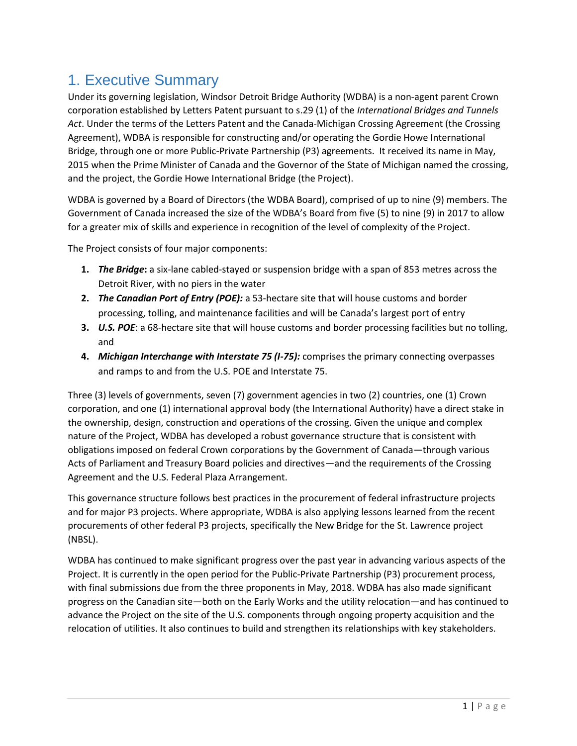## <span id="page-3-0"></span>1. Executive Summary

Under its governing legislation, Windsor Detroit Bridge Authority (WDBA) is a non-agent parent Crown corporation established by Letters Patent pursuant to s.29 (1) of the *International Bridges and Tunnels Act*. Under the terms of the Letters Patent and the Canada-Michigan Crossing Agreement (the Crossing Agreement), WDBA is responsible for constructing and/or operating the Gordie Howe International Bridge, through one or more Public-Private Partnership (P3) agreements. It received its name in May, 2015 when the Prime Minister of Canada and the Governor of the State of Michigan named the crossing, and the project, the Gordie Howe International Bridge (the Project).

WDBA is governed by a Board of Directors (the WDBA Board), comprised of up to nine (9) members. The Government of Canada increased the size of the WDBA's Board from five (5) to nine (9) in 2017 to allow for a greater mix of skills and experience in recognition of the level of complexity of the Project.

The Project consists of four major components:

- **1.** *The Bridge***:** a six-lane cabled-stayed or suspension bridge with a span of 853 metres across the Detroit River, with no piers in the water
- **2.** *The Canadian Port of Entry (POE):* a 53-hectare site that will house customs and border processing, tolling, and maintenance facilities and will be Canada's largest port of entry
- **3.** *U.S. POE*: a 68-hectare site that will house customs and border processing facilities but no tolling, and
- **4.** *Michigan Interchange with Interstate 75 (I-75):* comprises the primary connecting overpasses and ramps to and from the U.S. POE and Interstate 75.

Three (3) levels of governments, seven (7) government agencies in two (2) countries, one (1) Crown corporation, and one (1) international approval body (the International Authority) have a direct stake in the ownership, design, construction and operations of the crossing. Given the unique and complex nature of the Project, WDBA has developed a robust governance structure that is consistent with obligations imposed on federal Crown corporations by the Government of Canada—through various Acts of Parliament and Treasury Board policies and directives—and the requirements of the Crossing Agreement and the U.S. Federal Plaza Arrangement.

This governance structure follows best practices in the procurement of federal infrastructure projects and for major P3 projects. Where appropriate, WDBA is also applying lessons learned from the recent procurements of other federal P3 projects, specifically the New Bridge for the St. Lawrence project (NBSL).

WDBA has continued to make significant progress over the past year in advancing various aspects of the Project. It is currently in the open period for the Public-Private Partnership (P3) procurement process, with final submissions due from the three proponents in May, 2018. WDBA has also made significant progress on the Canadian site—both on the Early Works and the utility relocation—and has continued to advance the Project on the site of the U.S. components through ongoing property acquisition and the relocation of utilities. It also continues to build and strengthen its relationships with key stakeholders.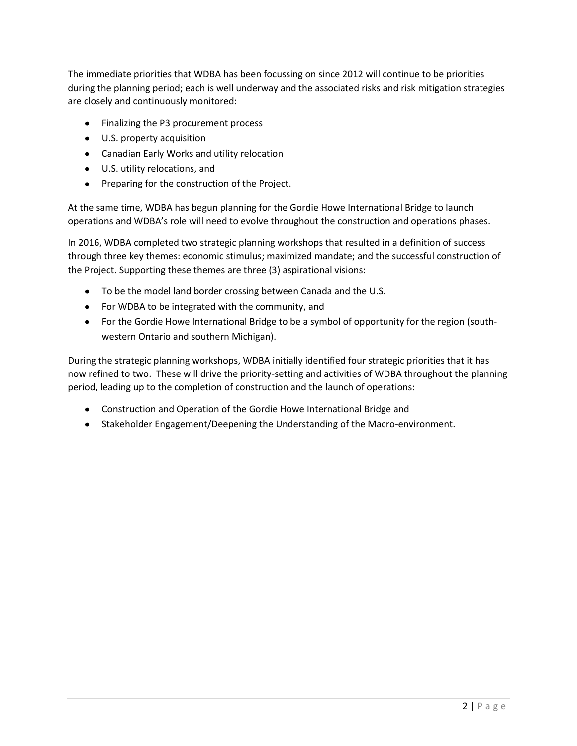The immediate priorities that WDBA has been focussing on since 2012 will continue to be priorities during the planning period; each is well underway and the associated risks and risk mitigation strategies are closely and continuously monitored:

- Finalizing the P3 procurement process
- U.S. property acquisition
- Canadian Early Works and utility relocation
- U.S. utility relocations, and
- Preparing for the construction of the Project.

At the same time, WDBA has begun planning for the Gordie Howe International Bridge to launch operations and WDBA's role will need to evolve throughout the construction and operations phases.

In 2016, WDBA completed two strategic planning workshops that resulted in a definition of success through three key themes: economic stimulus; maximized mandate; and the successful construction of the Project. Supporting these themes are three (3) aspirational visions:

- To be the model land border crossing between Canada and the U.S.
- For WDBA to be integrated with the community, and
- For the Gordie Howe International Bridge to be a symbol of opportunity for the region (southwestern Ontario and southern Michigan).

During the strategic planning workshops, WDBA initially identified four strategic priorities that it has now refined to two. These will drive the priority-setting and activities of WDBA throughout the planning period, leading up to the completion of construction and the launch of operations:

- Construction and Operation of the Gordie Howe International Bridge and
- Stakeholder Engagement/Deepening the Understanding of the Macro-environment.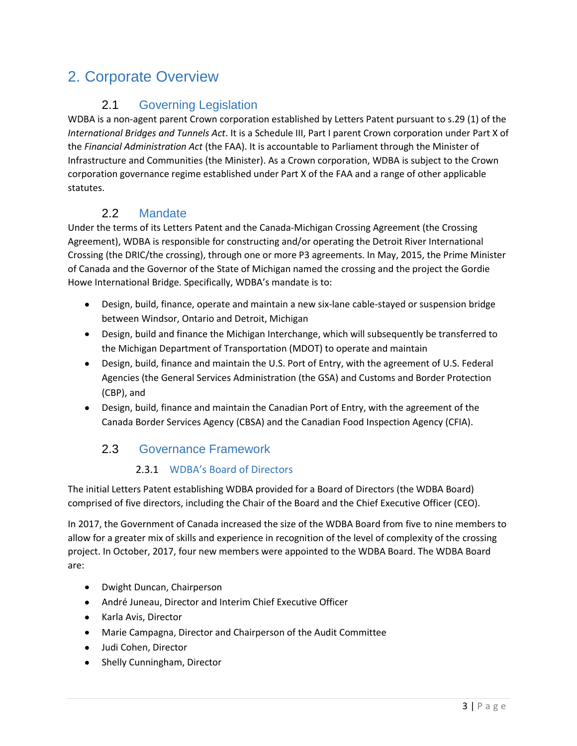## <span id="page-5-0"></span>2. Corporate Overview

## <span id="page-5-1"></span>2.1 Governing Legislation

WDBA is a non-agent parent Crown corporation established by Letters Patent pursuant to s.29 (1) of the *International Bridges and Tunnels Act*. It is a Schedule III, Part I parent Crown corporation under Part X of the *Financial Administration Act* (the FAA). It is accountable to Parliament through the Minister of Infrastructure and Communities (the Minister). As a Crown corporation, WDBA is subject to the Crown corporation governance regime established under Part X of the FAA and a range of other applicable statutes.

### <span id="page-5-2"></span>2.2 Mandate

Under the terms of its Letters Patent and the Canada-Michigan Crossing Agreement (the Crossing Agreement), WDBA is responsible for constructing and/or operating the Detroit River International Crossing (the DRIC/the crossing), through one or more P3 agreements. In May, 2015, the Prime Minister of Canada and the Governor of the State of Michigan named the crossing and the project the Gordie Howe International Bridge. Specifically, WDBA's mandate is to:

- $\bullet$ Design, build, finance, operate and maintain a new six-lane cable-stayed or suspension bridge between Windsor, Ontario and Detroit, Michigan
- Design, build and finance the Michigan Interchange, which will subsequently be transferred to the Michigan Department of Transportation (MDOT) to operate and maintain
- Design, build, finance and maintain the U.S. Port of Entry, with the agreement of U.S. Federal Agencies (the General Services Administration (the GSA) and Customs and Border Protection (CBP), and
- Design, build, finance and maintain the Canadian Port of Entry, with the agreement of the Canada Border Services Agency (CBSA) and the Canadian Food Inspection Agency (CFIA).

## 2.3 Governance Framework

#### <span id="page-5-3"></span>2.3.1 WDBA's Board of Directors

The initial Letters Patent establishing WDBA provided for a Board of Directors (the WDBA Board) comprised of five directors, including the Chair of the Board and the Chief Executive Officer (CEO).

In 2017, the Government of Canada increased the size of the WDBA Board from five to nine members to allow for a greater mix of skills and experience in recognition of the level of complexity of the crossing project. In October, 2017, four new members were appointed to the WDBA Board. The WDBA Board are:

- Dwight Duncan, Chairperson
- André Juneau, Director and Interim Chief Executive Officer
- Karla Avis, Director
- Marie Campagna, Director and Chairperson of the Audit Committee
- Judi Cohen, Director
- $\bullet$ Shelly Cunningham, Director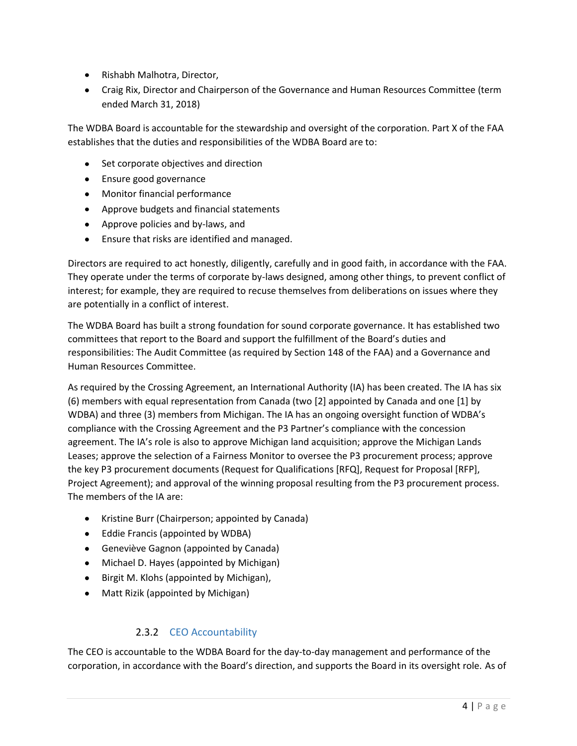- Rishabh Malhotra, Director,
- Craig Rix, Director and Chairperson of the Governance and Human Resources Committee (term ended March 31, 2018)

The WDBA Board is accountable for the stewardship and oversight of the corporation. Part X of the FAA establishes that the duties and responsibilities of the WDBA Board are to:

- Set corporate objectives and direction
- Ensure good governance
- Monitor financial performance
- Approve budgets and financial statements
- Approve policies and by-laws, and
- Ensure that risks are identified and managed.

Directors are required to act honestly, diligently, carefully and in good faith, in accordance with the FAA. They operate under the terms of corporate by-laws designed, among other things, to prevent conflict of interest; for example, they are required to recuse themselves from deliberations on issues where they are potentially in a conflict of interest.

The WDBA Board has built a strong foundation for sound corporate governance. It has established two committees that report to the Board and support the fulfillment of the Board's duties and responsibilities: The Audit Committee (as required by Section 148 of the FAA) and a Governance and Human Resources Committee.

As required by the Crossing Agreement, an International Authority (IA) has been created. The IA has six (6) members with equal representation from Canada (two [2] appointed by Canada and one [1] by WDBA) and three (3) members from Michigan. The IA has an ongoing oversight function of WDBA's compliance with the Crossing Agreement and the P3 Partner's compliance with the concession agreement. The IA's role is also to approve Michigan land acquisition; approve the Michigan Lands Leases; approve the selection of a Fairness Monitor to oversee the P3 procurement process; approve the key P3 procurement documents (Request for Qualifications [RFQ], Request for Proposal [RFP], Project Agreement); and approval of the winning proposal resulting from the P3 procurement process. The members of the IA are:

- Kristine Burr (Chairperson; appointed by Canada)
- Eddie Francis (appointed by WDBA)
- Geneviève Gagnon (appointed by Canada)
- Michael D. Hayes (appointed by Michigan)
- Birgit M. Klohs (appointed by Michigan),
- Matt Rizik (appointed by Michigan)

#### 2.3.2 CEO Accountability

The CEO is accountable to the WDBA Board for the day-to-day management and performance of the corporation, in accordance with the Board's direction, and supports the Board in its oversight role. As of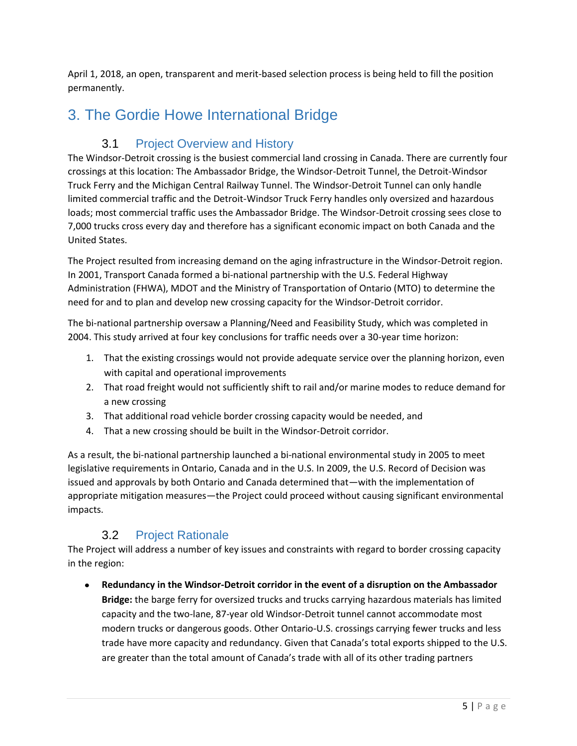April 1, 2018, an open, transparent and merit-based selection process is being held to fill the position permanently.

## <span id="page-7-1"></span><span id="page-7-0"></span>3. The Gordie Howe International Bridge

## 3.1 Project Overview and History

The Windsor-Detroit crossing is the busiest commercial land crossing in Canada. There are currently four crossings at this location: The Ambassador Bridge, the Windsor-Detroit Tunnel, the Detroit-Windsor Truck Ferry and the Michigan Central Railway Tunnel. The Windsor-Detroit Tunnel can only handle limited commercial traffic and the Detroit-Windsor Truck Ferry handles only oversized and hazardous loads; most commercial traffic uses the Ambassador Bridge. The Windsor-Detroit crossing sees close to 7,000 trucks cross every day and therefore has a significant economic impact on both Canada and the United States.

The Project resulted from increasing demand on the aging infrastructure in the Windsor-Detroit region. In 2001, Transport Canada formed a bi-national partnership with the U.S. Federal Highway Administration (FHWA), MDOT and the Ministry of Transportation of Ontario (MTO) to determine the need for and to plan and develop new crossing capacity for the Windsor-Detroit corridor.

The bi-national partnership oversaw a Planning/Need and Feasibility Study, which was completed in 2004. This study arrived at four key conclusions for traffic needs over a 30-year time horizon:

- 1. That the existing crossings would not provide adequate service over the planning horizon, even with capital and operational improvements
- 2. That road freight would not sufficiently shift to rail and/or marine modes to reduce demand for a new crossing
- 3. That additional road vehicle border crossing capacity would be needed, and
- 4. That a new crossing should be built in the Windsor-Detroit corridor.

As a result, the bi-national partnership launched a bi-national environmental study in 2005 to meet legislative requirements in Ontario, Canada and in the U.S. In 2009, the U.S. Record of Decision was issued and approvals by both Ontario and Canada determined that—with the implementation of appropriate mitigation measures—the Project could proceed without causing significant environmental impacts.

## 3.2 Project Rationale

<span id="page-7-2"></span>The Project will address a number of key issues and constraints with regard to border crossing capacity in the region:

**Redundancy in the Windsor-Detroit corridor in the event of a disruption on the Ambassador Bridge:** the barge ferry for oversized trucks and trucks carrying hazardous materials has limited capacity and the two-lane, 87-year old Windsor-Detroit tunnel cannot accommodate most modern trucks or dangerous goods. Other Ontario-U.S. crossings carrying fewer trucks and less trade have more capacity and redundancy. Given that Canada's total exports shipped to the U.S. are greater than the total amount of Canada's trade with all of its other trading partners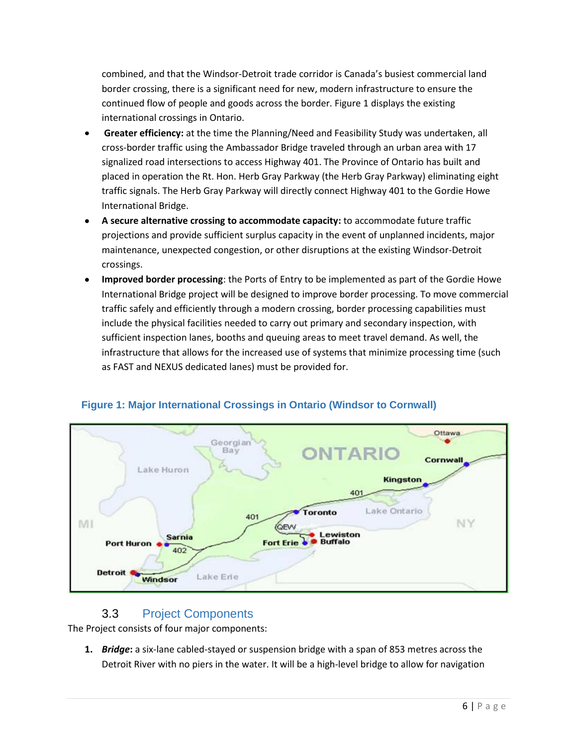combined, and that the Windsor-Detroit trade corridor is Canada's busiest commercial land border crossing, there is a significant need for new, modern infrastructure to ensure the continued flow of people and goods across the border. Figure 1 displays the existing international crossings in Ontario.

- **Greater efficiency:** at the time the Planning/Need and Feasibility Study was undertaken, all cross-border traffic using the Ambassador Bridge traveled through an urban area with 17 signalized road intersections to access Highway 401. The Province of Ontario has built and placed in operation the Rt. Hon. Herb Gray Parkway (the Herb Gray Parkway) eliminating eight traffic signals. The Herb Gray Parkway will directly connect Highway 401 to the Gordie Howe International Bridge.
- **A secure alternative crossing to accommodate capacity:** to accommodate future traffic projections and provide sufficient surplus capacity in the event of unplanned incidents, major maintenance, unexpected congestion, or other disruptions at the existing Windsor-Detroit crossings.
- **Improved border processing**: the Ports of Entry to be implemented as part of the Gordie Howe International Bridge project will be designed to improve border processing. To move commercial traffic safely and efficiently through a modern crossing, border processing capabilities must include the physical facilities needed to carry out primary and secondary inspection, with sufficient inspection lanes, booths and queuing areas to meet travel demand. As well, the infrastructure that allows for the increased use of systems that minimize processing time (such as FAST and NEXUS dedicated lanes) must be provided for.



#### **Figure 1: Major International Crossings in Ontario (Windsor to Cornwall)**

#### <span id="page-8-0"></span>3.3 Project Components

The Project consists of four major components:

**1.** *Bridge***:** a six-lane cabled-stayed or suspension bridge with a span of 853 metres across the Detroit River with no piers in the water. It will be a high-level bridge to allow for navigation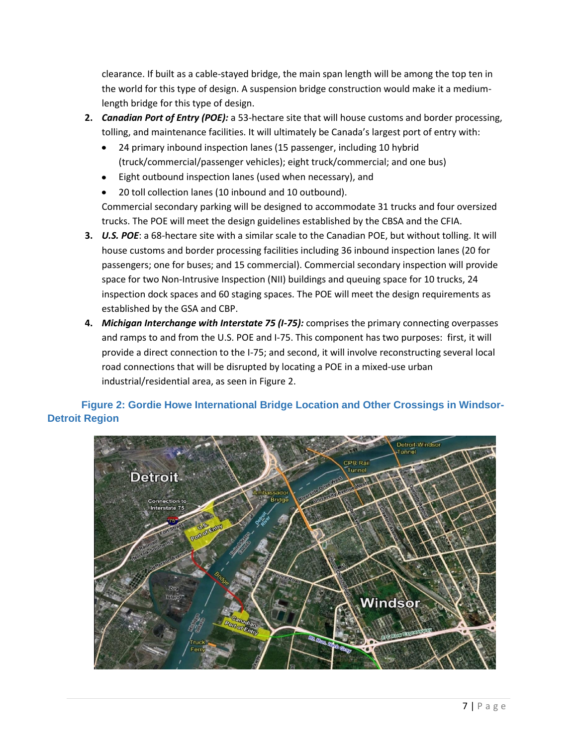clearance. If built as a cable-stayed bridge, the main span length will be among the top ten in the world for this type of design. A suspension bridge construction would make it a mediumlength bridge for this type of design.

- **2.** *Canadian Port of Entry (POE):* a 53-hectare site that will house customs and border processing, tolling, and maintenance facilities. It will ultimately be Canada's largest port of entry with:
	- 24 primary inbound inspection lanes (15 passenger, including 10 hybrid  $\bullet$ (truck/commercial/passenger vehicles); eight truck/commercial; and one bus)
	- Eight outbound inspection lanes (used when necessary), and  $\bullet$
	- 20 toll collection lanes (10 inbound and 10 outbound).

Commercial secondary parking will be designed to accommodate 31 trucks and four oversized trucks. The POE will meet the design guidelines established by the CBSA and the CFIA.

- **3.** *U.S. POE*: a 68-hectare site with a similar scale to the Canadian POE, but without tolling. It will house customs and border processing facilities including 36 inbound inspection lanes (20 for passengers; one for buses; and 15 commercial). Commercial secondary inspection will provide space for two Non-Intrusive Inspection (NII) buildings and queuing space for 10 trucks, 24 inspection dock spaces and 60 staging spaces. The POE will meet the design requirements as established by the GSA and CBP.
- **4.** *Michigan Interchange with Interstate 75 (I-75):* comprises the primary connecting overpasses and ramps to and from the U.S. POE and I-75. This component has two purposes: first, it will provide a direct connection to the I-75; and second, it will involve reconstructing several local road connections that will be disrupted by locating a POE in a mixed-use urban industrial/residential area, as seen in Figure 2.

#### **Figure 2: Gordie Howe International Bridge Location and Other Crossings in Windsor-Detroit Region**

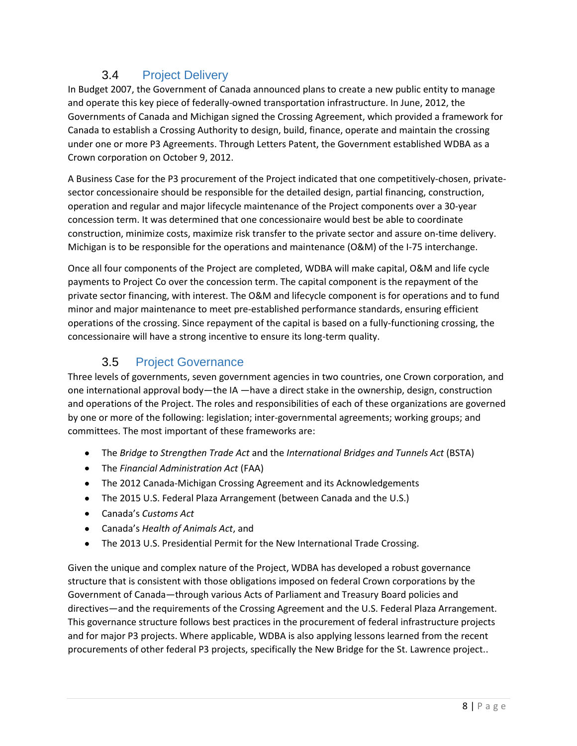## <span id="page-10-0"></span>3.4 Project Delivery

In Budget 2007, the Government of Canada announced plans to create a new public entity to manage and operate this key piece of federally-owned transportation infrastructure. In June, 2012, the Governments of Canada and Michigan signed the Crossing Agreement, which provided a framework for Canada to establish a Crossing Authority to design, build, finance, operate and maintain the crossing under one or more P3 Agreements. Through Letters Patent, the Government established WDBA as a Crown corporation on October 9, 2012.

A Business Case for the P3 procurement of the Project indicated that one competitively-chosen, privatesector concessionaire should be responsible for the detailed design, partial financing, construction, operation and regular and major lifecycle maintenance of the Project components over a 30-year concession term. It was determined that one concessionaire would best be able to coordinate construction, minimize costs, maximize risk transfer to the private sector and assure on-time delivery. Michigan is to be responsible for the operations and maintenance (O&M) of the I-75 interchange.

Once all four components of the Project are completed, WDBA will make capital, O&M and life cycle payments to Project Co over the concession term. The capital component is the repayment of the private sector financing, with interest. The O&M and lifecycle component is for operations and to fund minor and major maintenance to meet pre-established performance standards, ensuring efficient operations of the crossing. Since repayment of the capital is based on a fully-functioning crossing, the concessionaire will have a strong incentive to ensure its long-term quality.

## 3.5 Project Governance

<span id="page-10-1"></span>Three levels of governments, seven government agencies in two countries, one Crown corporation, and one international approval body—the IA —have a direct stake in the ownership, design, construction and operations of the Project. The roles and responsibilities of each of these organizations are governed by one or more of the following: legislation; inter-governmental agreements; working groups; and committees. The most important of these frameworks are:

- The *Bridge to Strengthen Trade Act* and the *International Bridges and Tunnels Act* (BSTA)
- The *Financial Administration Act* (FAA)
- The 2012 Canada-Michigan Crossing Agreement and its Acknowledgements
- The 2015 U.S. Federal Plaza Arrangement (between Canada and the U.S.)
- Canada's *Customs Act*
- Canada's *Health of Animals Act*, and
- The 2013 U.S. Presidential Permit for the New International Trade Crossing.  $\bullet$

Given the unique and complex nature of the Project, WDBA has developed a robust governance structure that is consistent with those obligations imposed on federal Crown corporations by the Government of Canada—through various Acts of Parliament and Treasury Board policies and directives—and the requirements of the Crossing Agreement and the U.S. Federal Plaza Arrangement. This governance structure follows best practices in the procurement of federal infrastructure projects and for major P3 projects. Where applicable, WDBA is also applying lessons learned from the recent procurements of other federal P3 projects, specifically the New Bridge for the St. Lawrence project..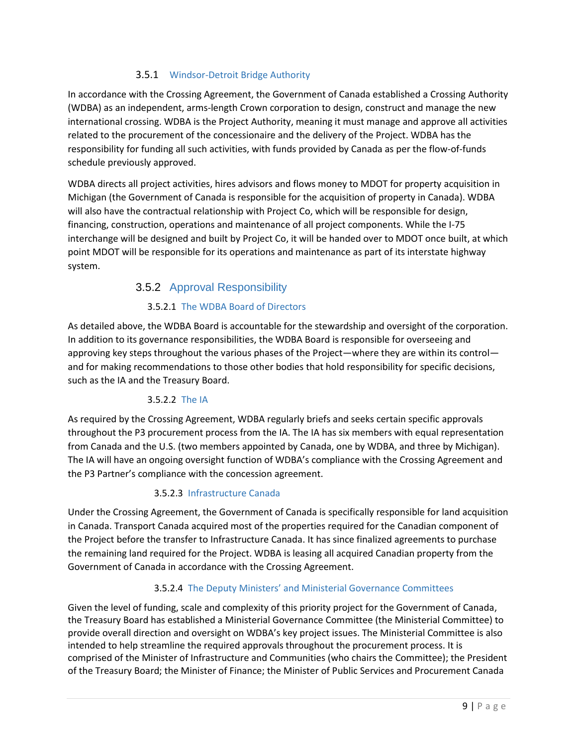#### 3.5.1 Windsor-Detroit Bridge Authority

In accordance with the Crossing Agreement, the Government of Canada established a Crossing Authority (WDBA) as an independent, arms-length Crown corporation to design, construct and manage the new international crossing. WDBA is the Project Authority, meaning it must manage and approve all activities related to the procurement of the concessionaire and the delivery of the Project. WDBA has the responsibility for funding all such activities, with funds provided by Canada as per the flow-of-funds schedule previously approved.

WDBA directs all project activities, hires advisors and flows money to MDOT for property acquisition in Michigan (the Government of Canada is responsible for the acquisition of property in Canada). WDBA will also have the contractual relationship with Project Co, which will be responsible for design, financing, construction, operations and maintenance of all project components. While the I-75 interchange will be designed and built by Project Co, it will be handed over to MDOT once built, at which point MDOT will be responsible for its operations and maintenance as part of its interstate highway system.

#### 3.5.2 Approval Responsibility

#### 3.5.2.1 The WDBA Board of Directors

As detailed above, the WDBA Board is accountable for the stewardship and oversight of the corporation. In addition to its governance responsibilities, the WDBA Board is responsible for overseeing and approving key steps throughout the various phases of the Project—where they are within its control and for making recommendations to those other bodies that hold responsibility for specific decisions, such as the IA and the Treasury Board.

#### 3.5.2.2 The IA

As required by the Crossing Agreement, WDBA regularly briefs and seeks certain specific approvals throughout the P3 procurement process from the IA. The IA has six members with equal representation from Canada and the U.S. (two members appointed by Canada, one by WDBA, and three by Michigan). The IA will have an ongoing oversight function of WDBA's compliance with the Crossing Agreement and the P3 Partner's compliance with the concession agreement.

#### 3.5.2.3 Infrastructure Canada

Under the Crossing Agreement, the Government of Canada is specifically responsible for land acquisition in Canada. Transport Canada acquired most of the properties required for the Canadian component of the Project before the transfer to Infrastructure Canada. It has since finalized agreements to purchase the remaining land required for the Project. WDBA is leasing all acquired Canadian property from the Government of Canada in accordance with the Crossing Agreement.

#### 3.5.2.4 The Deputy Ministers' and Ministerial Governance Committees

Given the level of funding, scale and complexity of this priority project for the Government of Canada, the Treasury Board has established a Ministerial Governance Committee (the Ministerial Committee) to provide overall direction and oversight on WDBA's key project issues. The Ministerial Committee is also intended to help streamline the required approvals throughout the procurement process. It is comprised of the Minister of Infrastructure and Communities (who chairs the Committee); the President of the Treasury Board; the Minister of Finance; the Minister of Public Services and Procurement Canada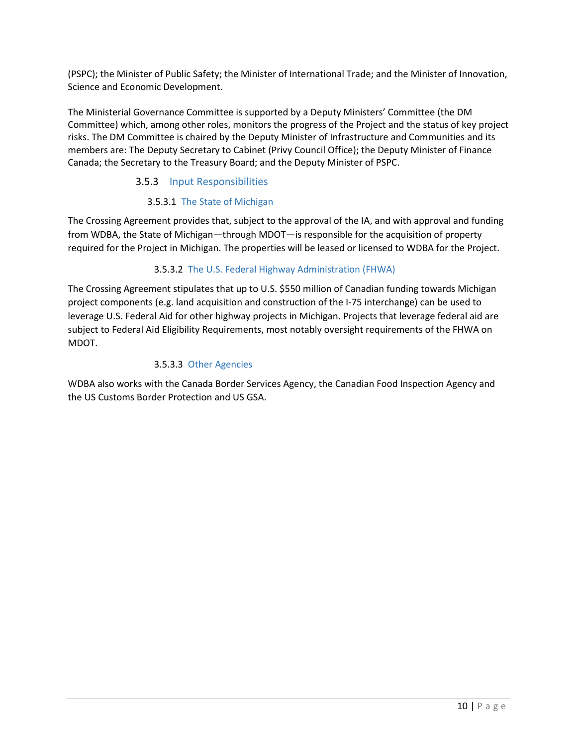(PSPC); the Minister of Public Safety; the Minister of International Trade; and the Minister of Innovation, Science and Economic Development.

The Ministerial Governance Committee is supported by a Deputy Ministers' Committee (the DM Committee) which, among other roles, monitors the progress of the Project and the status of key project risks. The DM Committee is chaired by the Deputy Minister of Infrastructure and Communities and its members are: The Deputy Secretary to Cabinet (Privy Council Office); the Deputy Minister of Finance Canada; the Secretary to the Treasury Board; and the Deputy Minister of PSPC.

#### 3.5.3 Input Responsibilities

#### 3.5.3.1 The State of Michigan

The Crossing Agreement provides that, subject to the approval of the IA, and with approval and funding from WDBA, the State of Michigan—through MDOT—is responsible for the acquisition of property required for the Project in Michigan. The properties will be leased or licensed to WDBA for the Project.

#### 3.5.3.2 The U.S. Federal Highway Administration (FHWA)

The Crossing Agreement stipulates that up to U.S. \$550 million of Canadian funding towards Michigan project components (e.g. land acquisition and construction of the I-75 interchange) can be used to leverage U.S. Federal Aid for other highway projects in Michigan. Projects that leverage federal aid are subject to Federal Aid Eligibility Requirements, most notably oversight requirements of the FHWA on MDOT.

#### 3.5.3.3 Other Agencies

WDBA also works with the Canada Border Services Agency, the Canadian Food Inspection Agency and the US Customs Border Protection and US GSA.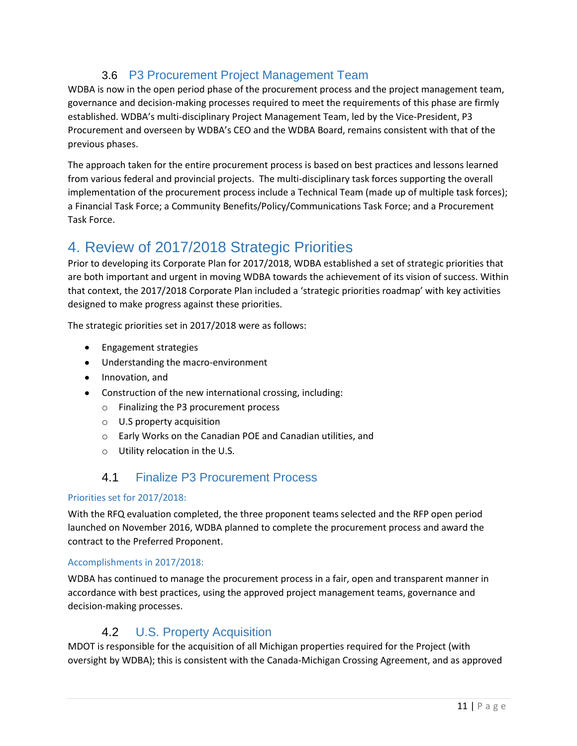### <span id="page-13-0"></span>3.6 P3 Procurement Project Management Team

WDBA is now in the open period phase of the procurement process and the project management team, governance and decision-making processes required to meet the requirements of this phase are firmly established. WDBA's multi-disciplinary Project Management Team, led by the Vice-President, P3 Procurement and overseen by WDBA's CEO and the WDBA Board, remains consistent with that of the previous phases.

The approach taken for the entire procurement process is based on best practices and lessons learned from various federal and provincial projects. The multi-disciplinary task forces supporting the overall implementation of the procurement process include a Technical Team (made up of multiple task forces); a Financial Task Force; a Community Benefits/Policy/Communications Task Force; and a Procurement Task Force.

## <span id="page-13-1"></span>4. Review of 2017/2018 Strategic Priorities

Prior to developing its Corporate Plan for 2017/2018, WDBA established a set of strategic priorities that are both important and urgent in moving WDBA towards the achievement of its vision of success. Within that context, the 2017/2018 Corporate Plan included a 'strategic priorities roadmap' with key activities designed to make progress against these priorities.

The strategic priorities set in 2017/2018 were as follows:

- **•** Engagement strategies
- Understanding the macro-environment
- Innovation, and
- Construction of the new international crossing, including:
	- o Finalizing the P3 procurement process
	- o U.S property acquisition
	- o Early Works on the Canadian POE and Canadian utilities, and
	- o Utility relocation in the U.S.

### 4.1 Finalize P3 Procurement Process

#### <span id="page-13-2"></span>Priorities set for 2017/2018:

With the RFQ evaluation completed, the three proponent teams selected and the RFP open period launched on November 2016, WDBA planned to complete the procurement process and award the contract to the Preferred Proponent.

#### Accomplishments in 2017/2018:

WDBA has continued to manage the procurement process in a fair, open and transparent manner in accordance with best practices, using the approved project management teams, governance and decision-making processes.

### 4.2 U.S. Property Acquisition

<span id="page-13-3"></span>MDOT is responsible for the acquisition of all Michigan properties required for the Project (with oversight by WDBA); this is consistent with the Canada-Michigan Crossing Agreement, and as approved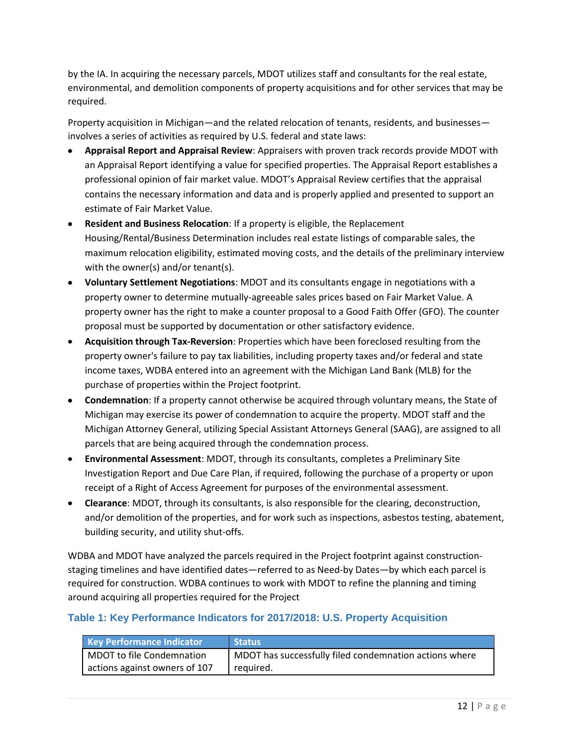by the IA. In acquiring the necessary parcels, MDOT utilizes staff and consultants for the real estate, environmental, and demolition components of property acquisitions and for other services that may be required.

Property acquisition in Michigan—and the related relocation of tenants, residents, and businesses involves a series of activities as required by U.S. federal and state laws:

- **Appraisal Report and Appraisal Review**: Appraisers with proven track records provide MDOT with an Appraisal Report identifying a value for specified properties. The Appraisal Report establishes a professional opinion of fair market value. MDOT's Appraisal Review certifies that the appraisal contains the necessary information and data and is properly applied and presented to support an estimate of Fair Market Value.
- **Resident and Business Relocation**: If a property is eligible, the Replacement Housing/Rental/Business Determination includes real estate listings of comparable sales, the maximum relocation eligibility, estimated moving costs, and the details of the preliminary interview with the owner(s) and/or tenant(s).
- **Voluntary Settlement Negotiations**: MDOT and its consultants engage in negotiations with a property owner to determine mutually-agreeable sales prices based on Fair Market Value. A property owner has the right to make a counter proposal to a Good Faith Offer (GFO). The counter proposal must be supported by documentation or other satisfactory evidence.
- **Acquisition through Tax-Reversion**: Properties which have been foreclosed resulting from the property owner's failure to pay tax liabilities, including property taxes and/or federal and state income taxes, WDBA entered into an agreement with the Michigan Land Bank (MLB) for the purchase of properties within the Project footprint.
- **Condemnation**: If a property cannot otherwise be acquired through voluntary means, the State of Michigan may exercise its power of condemnation to acquire the property. MDOT staff and the Michigan Attorney General, utilizing Special Assistant Attorneys General (SAAG), are assigned to all parcels that are being acquired through the condemnation process.
- **Environmental Assessment**: MDOT, through its consultants, completes a Preliminary Site Investigation Report and Due Care Plan, if required, following the purchase of a property or upon receipt of a Right of Access Agreement for purposes of the environmental assessment.
- **Clearance**: MDOT, through its consultants, is also responsible for the clearing, deconstruction, and/or demolition of the properties, and for work such as inspections, asbestos testing, abatement, building security, and utility shut-offs.

WDBA and MDOT have analyzed the parcels required in the Project footprint against constructionstaging timelines and have identified dates—referred to as Need-by Dates—by which each parcel is required for construction. WDBA continues to work with MDOT to refine the planning and timing around acquiring all properties required for the Project

#### **Table 1: Key Performance Indicators for 2017/2018: U.S. Property Acquisition**

| Key Performance Indicator     | Status                                                 |
|-------------------------------|--------------------------------------------------------|
| MDOT to file Condemnation     | MDOT has successfully filed condemnation actions where |
| actions against owners of 107 | required.                                              |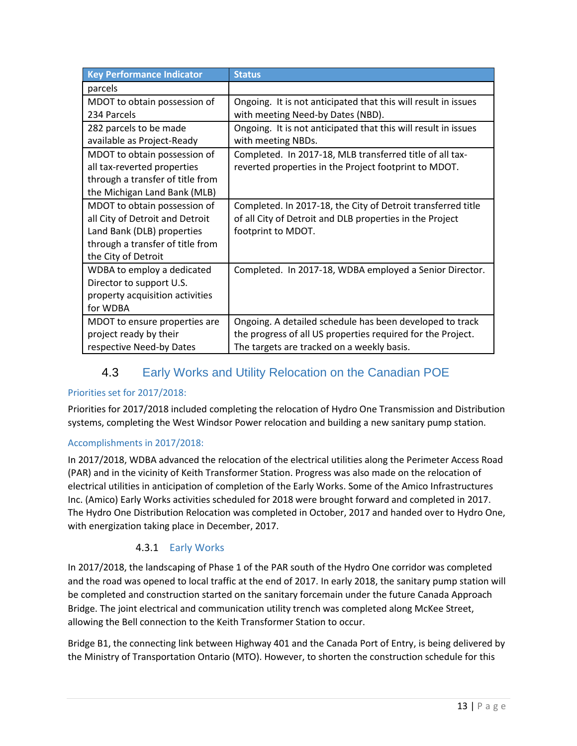| <b>Key Performance Indicator</b> | <b>Status</b>                                                  |
|----------------------------------|----------------------------------------------------------------|
| parcels                          |                                                                |
| MDOT to obtain possession of     | Ongoing. It is not anticipated that this will result in issues |
| 234 Parcels                      | with meeting Need-by Dates (NBD).                              |
| 282 parcels to be made           | Ongoing. It is not anticipated that this will result in issues |
| available as Project-Ready       | with meeting NBDs.                                             |
| MDOT to obtain possession of     | Completed. In 2017-18, MLB transferred title of all tax-       |
| all tax-reverted properties      | reverted properties in the Project footprint to MDOT.          |
| through a transfer of title from |                                                                |
| the Michigan Land Bank (MLB)     |                                                                |
| MDOT to obtain possession of     | Completed. In 2017-18, the City of Detroit transferred title   |
| all City of Detroit and Detroit  | of all City of Detroit and DLB properties in the Project       |
| Land Bank (DLB) properties       | footprint to MDOT.                                             |
| through a transfer of title from |                                                                |
| the City of Detroit              |                                                                |
| WDBA to employ a dedicated       | Completed. In 2017-18, WDBA employed a Senior Director.        |
| Director to support U.S.         |                                                                |
| property acquisition activities  |                                                                |
| for WDBA                         |                                                                |
| MDOT to ensure properties are    | Ongoing. A detailed schedule has been developed to track       |
| project ready by their           | the progress of all US properties required for the Project.    |
| respective Need-by Dates         | The targets are tracked on a weekly basis.                     |

### <span id="page-15-0"></span>4.3 Early Works and Utility Relocation on the Canadian POE

#### Priorities set for 2017/2018:

Priorities for 2017/2018 included completing the relocation of Hydro One Transmission and Distribution systems, completing the West Windsor Power relocation and building a new sanitary pump station.

#### Accomplishments in 2017/2018:

In 2017/2018, WDBA advanced the relocation of the electrical utilities along the Perimeter Access Road (PAR) and in the vicinity of Keith Transformer Station. Progress was also made on the relocation of electrical utilities in anticipation of completion of the Early Works. Some of the Amico Infrastructures Inc. (Amico) Early Works activities scheduled for 2018 were brought forward and completed in 2017. The Hydro One Distribution Relocation was completed in October, 2017 and handed over to Hydro One, with energization taking place in December, 2017.

#### 4.3.1 Early Works

In 2017/2018, the landscaping of Phase 1 of the PAR south of the Hydro One corridor was completed and the road was opened to local traffic at the end of 2017. In early 2018, the sanitary pump station will be completed and construction started on the sanitary forcemain under the future Canada Approach Bridge. The joint electrical and communication utility trench was completed along McKee Street, allowing the Bell connection to the Keith Transformer Station to occur.

Bridge B1, the connecting link between Highway 401 and the Canada Port of Entry, is being delivered by the Ministry of Transportation Ontario (MTO). However, to shorten the construction schedule for this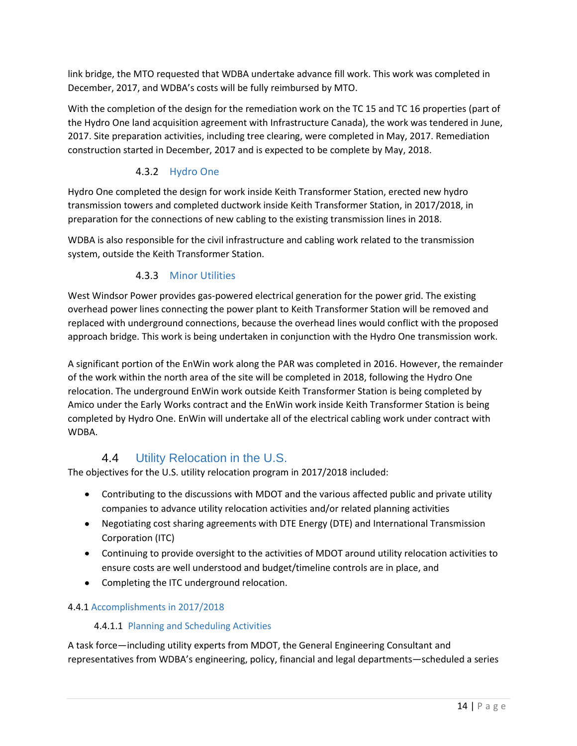link bridge, the MTO requested that WDBA undertake advance fill work. This work was completed in December, 2017, and WDBA's costs will be fully reimbursed by MTO.

With the completion of the design for the remediation work on the TC 15 and TC 16 properties (part of the Hydro One land acquisition agreement with Infrastructure Canada), the work was tendered in June, 2017. Site preparation activities, including tree clearing, were completed in May, 2017. Remediation construction started in December, 2017 and is expected to be complete by May, 2018.

#### 4.3.2 Hydro One

Hydro One completed the design for work inside Keith Transformer Station, erected new hydro transmission towers and completed ductwork inside Keith Transformer Station, in 2017/2018, in preparation for the connections of new cabling to the existing transmission lines in 2018.

WDBA is also responsible for the civil infrastructure and cabling work related to the transmission system, outside the Keith Transformer Station.

#### 4.3.3 Minor Utilities

West Windsor Power provides gas-powered electrical generation for the power grid. The existing overhead power lines connecting the power plant to Keith Transformer Station will be removed and replaced with underground connections, because the overhead lines would conflict with the proposed approach bridge. This work is being undertaken in conjunction with the Hydro One transmission work.

A significant portion of the EnWin work along the PAR was completed in 2016. However, the remainder of the work within the north area of the site will be completed in 2018, following the Hydro One relocation. The underground EnWin work outside Keith Transformer Station is being completed by Amico under the Early Works contract and the EnWin work inside Keith Transformer Station is being completed by Hydro One. EnWin will undertake all of the electrical cabling work under contract with WDBA.

## 4.4 Utility Relocation in the U.S.

<span id="page-16-0"></span>The objectives for the U.S. utility relocation program in 2017/2018 included:

- Contributing to the discussions with MDOT and the various affected public and private utility companies to advance utility relocation activities and/or related planning activities
- Negotiating cost sharing agreements with DTE Energy (DTE) and International Transmission Corporation (ITC)
- Continuing to provide oversight to the activities of MDOT around utility relocation activities to ensure costs are well understood and budget/timeline controls are in place, and
- Completing the ITC underground relocation.

#### 4.4.1 Accomplishments in 2017/2018

#### 4.4.1.1 Planning and Scheduling Activities

A task force—including utility experts from MDOT, the General Engineering Consultant and representatives from WDBA's engineering, policy, financial and legal departments—scheduled a series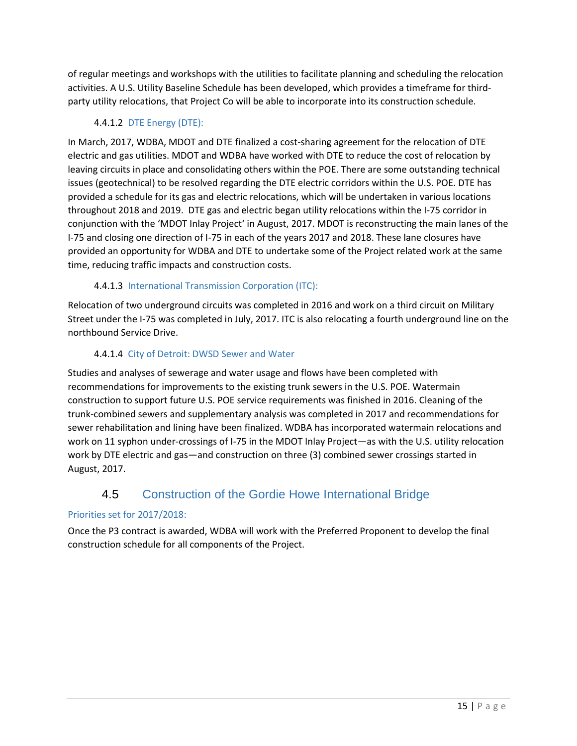of regular meetings and workshops with the utilities to facilitate planning and scheduling the relocation activities. A U.S. Utility Baseline Schedule has been developed, which provides a timeframe for thirdparty utility relocations, that Project Co will be able to incorporate into its construction schedule.

#### 4.4.1.2 DTE Energy (DTE):

In March, 2017, WDBA, MDOT and DTE finalized a cost-sharing agreement for the relocation of DTE electric and gas utilities. MDOT and WDBA have worked with DTE to reduce the cost of relocation by leaving circuits in place and consolidating others within the POE. There are some outstanding technical issues (geotechnical) to be resolved regarding the DTE electric corridors within the U.S. POE. DTE has provided a schedule for its gas and electric relocations, which will be undertaken in various locations throughout 2018 and 2019. DTE gas and electric began utility relocations within the I-75 corridor in conjunction with the 'MDOT Inlay Project' in August, 2017. MDOT is reconstructing the main lanes of the I-75 and closing one direction of I-75 in each of the years 2017 and 2018. These lane closures have provided an opportunity for WDBA and DTE to undertake some of the Project related work at the same time, reducing traffic impacts and construction costs.

#### 4.4.1.3 International Transmission Corporation (ITC):

Relocation of two underground circuits was completed in 2016 and work on a third circuit on Military Street under the I-75 was completed in July, 2017. ITC is also relocating a fourth underground line on the northbound Service Drive.

#### 4.4.1.4 City of Detroit: DWSD Sewer and Water

Studies and analyses of sewerage and water usage and flows have been completed with recommendations for improvements to the existing trunk sewers in the U.S. POE. Watermain construction to support future U.S. POE service requirements was finished in 2016. Cleaning of the trunk-combined sewers and supplementary analysis was completed in 2017 and recommendations for sewer rehabilitation and lining have been finalized. WDBA has incorporated watermain relocations and work on 11 syphon under-crossings of I-75 in the MDOT Inlay Project—as with the U.S. utility relocation work by DTE electric and gas—and construction on three (3) combined sewer crossings started in August, 2017.

## <span id="page-17-0"></span>4.5 Construction of the Gordie Howe International Bridge

#### Priorities set for 2017/2018:

Once the P3 contract is awarded, WDBA will work with the Preferred Proponent to develop the final construction schedule for all components of the Project.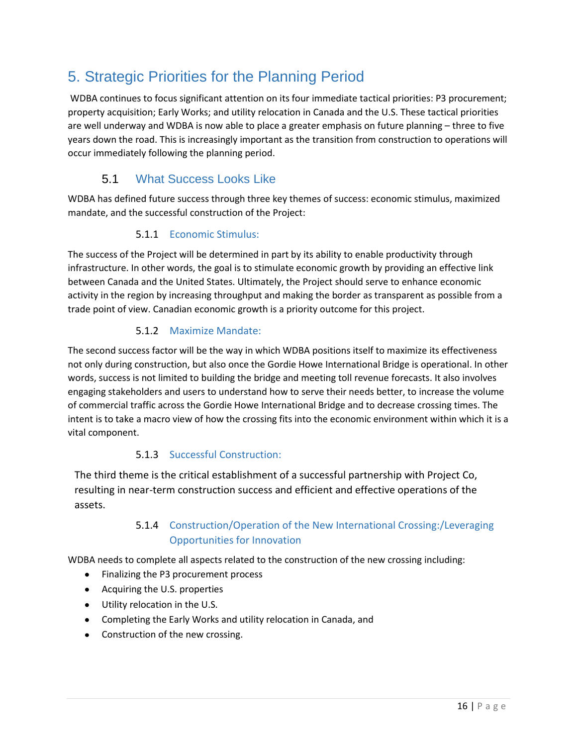## <span id="page-18-0"></span>5. Strategic Priorities for the Planning Period

 WDBA continues to focus significant attention on its four immediate tactical priorities: P3 procurement; property acquisition; Early Works; and utility relocation in Canada and the U.S. These tactical priorities are well underway and WDBA is now able to place a greater emphasis on future planning – three to five years down the road. This is increasingly important as the transition from construction to operations will occur immediately following the planning period.

## 5.1 What Success Looks Like

<span id="page-18-1"></span>WDBA has defined future success through three key themes of success: economic stimulus, maximized mandate, and the successful construction of the Project:

#### 5.1.1 Economic Stimulus:

The success of the Project will be determined in part by its ability to enable productivity through infrastructure. In other words, the goal is to stimulate economic growth by providing an effective link between Canada and the United States. Ultimately, the Project should serve to enhance economic activity in the region by increasing throughput and making the border as transparent as possible from a trade point of view. Canadian economic growth is a priority outcome for this project.

#### 5.1.2 Maximize Mandate:

The second success factor will be the way in which WDBA positions itself to maximize its effectiveness not only during construction, but also once the Gordie Howe International Bridge is operational. In other words, success is not limited to building the bridge and meeting toll revenue forecasts. It also involves engaging stakeholders and users to understand how to serve their needs better, to increase the volume of commercial traffic across the Gordie Howe International Bridge and to decrease crossing times. The intent is to take a macro view of how the crossing fits into the economic environment within which it is a vital component.

#### 5.1.3 Successful Construction:

The third theme is the critical establishment of a successful partnership with Project Co, resulting in near-term construction success and efficient and effective operations of the assets.

#### 5.1.4 Construction/Operation of the New International Crossing:/Leveraging Opportunities for Innovation

WDBA needs to complete all aspects related to the construction of the new crossing including:

- $\bullet$ Finalizing the P3 procurement process
- Acquiring the U.S. properties
- Utility relocation in the U.S.
- Completing the Early Works and utility relocation in Canada, and
- Construction of the new crossing.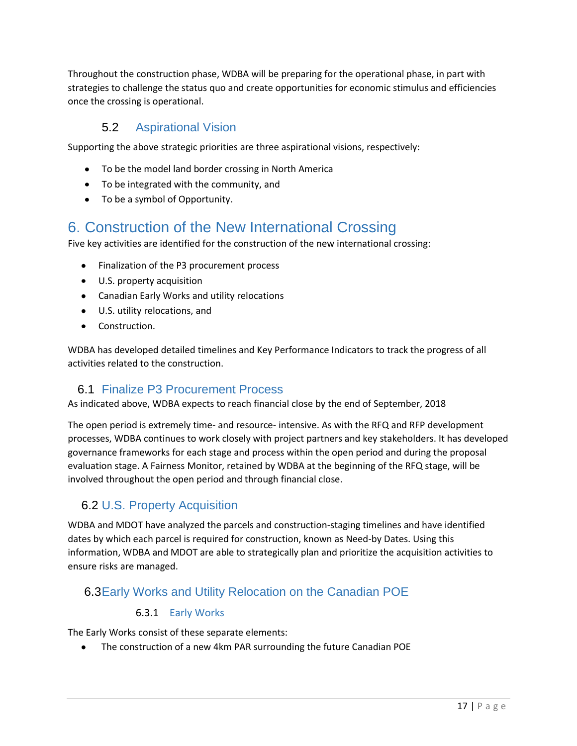Throughout the construction phase, WDBA will be preparing for the operational phase, in part with strategies to challenge the status quo and create opportunities for economic stimulus and efficiencies once the crossing is operational.

### 5.2 Aspirational Vision

<span id="page-19-0"></span>Supporting the above strategic priorities are three aspirational visions, respectively:

- To be the model land border crossing in North America
- To be integrated with the community, and
- To be a symbol of Opportunity.

## <span id="page-19-1"></span>6. Construction of the New International Crossing

Five key activities are identified for the construction of the new international crossing:

- Finalization of the P3 procurement process
- U.S. property acquisition
- Canadian Early Works and utility relocations
- U.S. utility relocations, and
- Construction.  $\bullet$

WDBA has developed detailed timelines and Key Performance Indicators to track the progress of all activities related to the construction.

#### <span id="page-19-2"></span>6.1 Finalize P3 Procurement Process

As indicated above, WDBA expects to reach financial close by the end of September, 2018

The open period is extremely time- and resource- intensive. As with the RFQ and RFP development processes, WDBA continues to work closely with project partners and key stakeholders. It has developed governance frameworks for each stage and process within the open period and during the proposal evaluation stage. A Fairness Monitor, retained by WDBA at the beginning of the RFQ stage, will be involved throughout the open period and through financial close.

## <span id="page-19-3"></span>6.2 U.S. Property Acquisition

WDBA and MDOT have analyzed the parcels and construction-staging timelines and have identified dates by which each parcel is required for construction, known as Need-by Dates. Using this information, WDBA and MDOT are able to strategically plan and prioritize the acquisition activities to ensure risks are managed.

### <span id="page-19-4"></span>6.3Early Works and Utility Relocation on the Canadian POE

#### 6.3.1 Early Works

The Early Works consist of these separate elements:

 $\bullet$ The construction of a new 4km PAR surrounding the future Canadian POE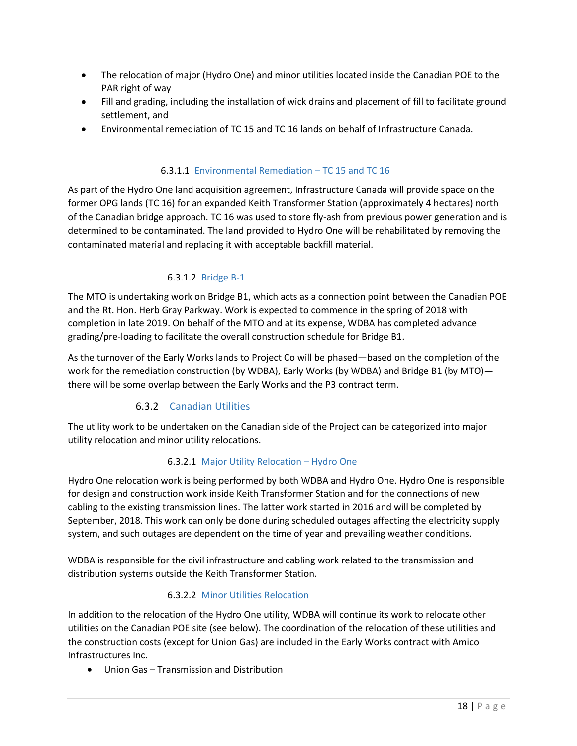- The relocation of major (Hydro One) and minor utilities located inside the Canadian POE to the PAR right of way
- Fill and grading, including the installation of wick drains and placement of fill to facilitate ground settlement, and
- Environmental remediation of TC 15 and TC 16 lands on behalf of Infrastructure Canada.

#### 6.3.1.1 Environmental Remediation – TC 15 and TC 16

As part of the Hydro One land acquisition agreement, Infrastructure Canada will provide space on the former OPG lands (TC 16) for an expanded Keith Transformer Station (approximately 4 hectares) north of the Canadian bridge approach. TC 16 was used to store fly-ash from previous power generation and is determined to be contaminated. The land provided to Hydro One will be rehabilitated by removing the contaminated material and replacing it with acceptable backfill material.

#### 6.3.1.2 Bridge B-1

The MTO is undertaking work on Bridge B1, which acts as a connection point between the Canadian POE and the Rt. Hon. Herb Gray Parkway. Work is expected to commence in the spring of 2018 with completion in late 2019. On behalf of the MTO and at its expense, WDBA has completed advance grading/pre-loading to facilitate the overall construction schedule for Bridge B1.

As the turnover of the Early Works lands to Project Co will be phased—based on the completion of the work for the remediation construction (by WDBA), Early Works (by WDBA) and Bridge B1 (by MTO) there will be some overlap between the Early Works and the P3 contract term.

#### 6.3.2 Canadian Utilities

The utility work to be undertaken on the Canadian side of the Project can be categorized into major utility relocation and minor utility relocations.

#### 6.3.2.1 Major Utility Relocation – Hydro One

Hydro One relocation work is being performed by both WDBA and Hydro One. Hydro One is responsible for design and construction work inside Keith Transformer Station and for the connections of new cabling to the existing transmission lines. The latter work started in 2016 and will be completed by September, 2018. This work can only be done during scheduled outages affecting the electricity supply system, and such outages are dependent on the time of year and prevailing weather conditions.

WDBA is responsible for the civil infrastructure and cabling work related to the transmission and distribution systems outside the Keith Transformer Station.

#### 6.3.2.2 Minor Utilities Relocation

In addition to the relocation of the Hydro One utility, WDBA will continue its work to relocate other utilities on the Canadian POE site (see below). The coordination of the relocation of these utilities and the construction costs (except for Union Gas) are included in the Early Works contract with Amico Infrastructures Inc.

Union Gas – Transmission and Distribution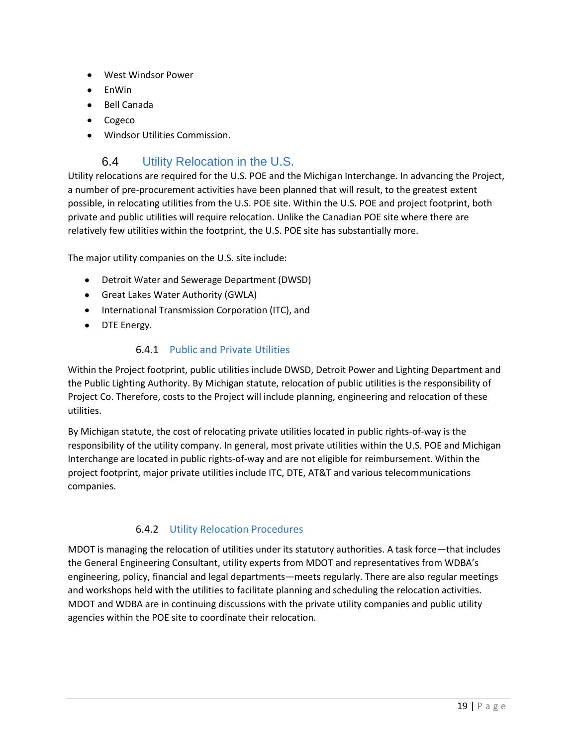- West Windsor Power  $\bullet$
- EnWin
- Bell Canada
- Cogeco
- Windsor Utilities Commission.

### <span id="page-21-0"></span>6.4 Utility Relocation in the U.S.

Utility relocations are required for the U.S. POE and the Michigan Interchange. In advancing the Project, a number of pre-procurement activities have been planned that will result, to the greatest extent possible, in relocating utilities from the U.S. POE site. Within the U.S. POE and project footprint, both private and public utilities will require relocation. Unlike the Canadian POE site where there are relatively few utilities within the footprint, the U.S. POE site has substantially more.

The major utility companies on the U.S. site include:

- Detroit Water and Sewerage Department (DWSD)
- Great Lakes Water Authority (GWLA)
- International Transmission Corporation (ITC), and
- DTE Energy.

#### 6.4.1 Public and Private Utilities

Within the Project footprint, public utilities include DWSD, Detroit Power and Lighting Department and the Public Lighting Authority. By Michigan statute, relocation of public utilities is the responsibility of Project Co. Therefore, costs to the Project will include planning, engineering and relocation of these utilities.

By Michigan statute, the cost of relocating private utilities located in public rights-of-way is the responsibility of the utility company. In general, most private utilities within the U.S. POE and Michigan Interchange are located in public rights-of-way and are not eligible for reimbursement. Within the project footprint, major private utilities include ITC, DTE, AT&T and various telecommunications companies.

#### 6.4.2 Utility Relocation Procedures

MDOT is managing the relocation of utilities under its statutory authorities. A task force—that includes the General Engineering Consultant, utility experts from MDOT and representatives from WDBA's engineering, policy, financial and legal departments—meets regularly. There are also regular meetings and workshops held with the utilities to facilitate planning and scheduling the relocation activities. MDOT and WDBA are in continuing discussions with the private utility companies and public utility agencies within the POE site to coordinate their relocation.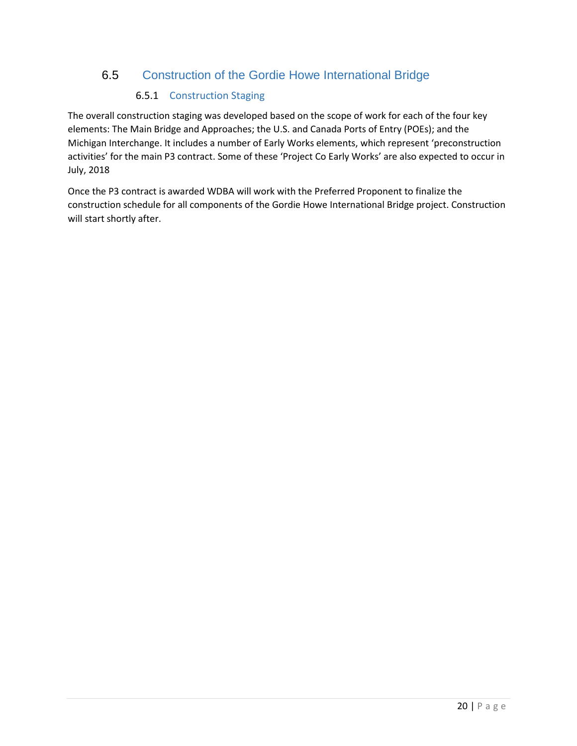### 6.5 Construction of the Gordie Howe International Bridge

#### <span id="page-22-0"></span>6.5.1 Construction Staging

The overall construction staging was developed based on the scope of work for each of the four key elements: The Main Bridge and Approaches; the U.S. and Canada Ports of Entry (POEs); and the Michigan Interchange. It includes a number of Early Works elements, which represent 'preconstruction activities' for the main P3 contract. Some of these 'Project Co Early Works' are also expected to occur in July, 2018

Once the P3 contract is awarded WDBA will work with the Preferred Proponent to finalize the construction schedule for all components of the Gordie Howe International Bridge project. Construction will start shortly after.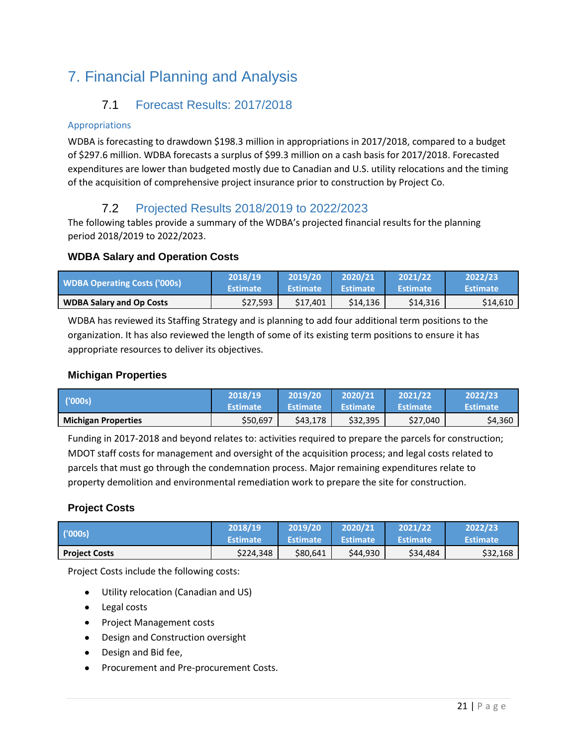## <span id="page-23-1"></span><span id="page-23-0"></span>7. Financial Planning and Analysis

## 7.1 Forecast Results: 2017/2018

#### Appropriations

WDBA is forecasting to drawdown \$198.3 million in appropriations in 2017/2018, compared to a budget of \$297.6 million. WDBA forecasts a surplus of \$99.3 million on a cash basis for 2017/2018. Forecasted expenditures are lower than budgeted mostly due to Canadian and U.S. utility relocations and the timing of the acquisition of comprehensive project insurance prior to construction by Project Co.

## 7.2 Projected Results 2018/2019 to 2022/2023

<span id="page-23-2"></span>The following tables provide a summary of the WDBA's projected financial results for the planning period 2018/2019 to 2022/2023.

#### **WDBA Salary and Operation Costs**

| <b>WDBA Operating Costs ('000s)</b> | 12018/19        | 2019/20         | 2020/21         | 2021/22         | 2022/23         |
|-------------------------------------|-----------------|-----------------|-----------------|-----------------|-----------------|
|                                     | <b>Estimate</b> | <b>Estimate</b> | <b>Estimate</b> | <b>Estimate</b> | <b>Estimate</b> |
| <b>WDBA Salary and Op Costs</b>     | \$27,593        | S17.401         | \$14,136        | \$14,316        | \$14,610        |

WDBA has reviewed its Staffing Strategy and is planning to add four additional term positions to the organization. It has also reviewed the length of some of its existing term positions to ensure it has appropriate resources to deliver its objectives.

#### **Michigan Properties**

| ('000s)                    | 12018/19        | 2019/20         | 2020/21         | 2021/22          | 2022/23         |
|----------------------------|-----------------|-----------------|-----------------|------------------|-----------------|
|                            | <b>Estimate</b> | <b>Estimate</b> | <b>Estimate</b> | <b>\Estimate</b> | <b>Estimate</b> |
| <b>Michigan Properties</b> | \$50,697        | \$43.178        | \$32,395        | \$27,040         | \$4,360         |

Funding in 2017-2018 and beyond relates to: activities required to prepare the parcels for construction; MDOT staff costs for management and oversight of the acquisition process; and legal costs related to parcels that must go through the condemnation process. Major remaining expenditures relate to property demolition and environmental remediation work to prepare the site for construction.

#### **Project Costs**

| (000s)               | 2018/19         | 2019/20         | 2020/21         | 2021/22         | 2022/23         |
|----------------------|-----------------|-----------------|-----------------|-----------------|-----------------|
|                      | <b>Estimate</b> | <b>Estimate</b> | <b>Estimate</b> | <b>Estimate</b> | <b>Estimate</b> |
| <b>Project Costs</b> | \$224,348       | \$80,641        | \$44,930        | \$34,484        | \$32,168        |

Project Costs include the following costs:

- Utility relocation (Canadian and US)
- Legal costs
- Project Management costs
- Design and Construction oversight
- Design and Bid fee,
- Procurement and Pre-procurement Costs.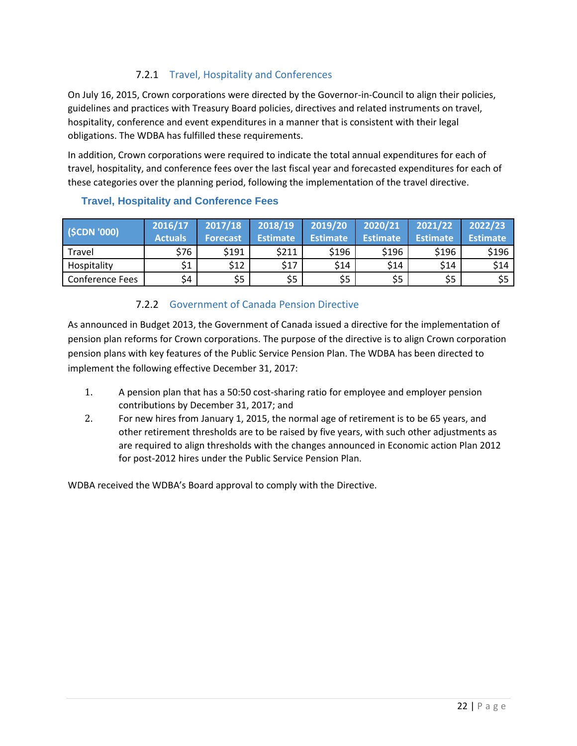#### 7.2.1 Travel, Hospitality and Conferences

On July 16, 2015, Crown corporations were directed by the Governor-in-Council to align their policies, guidelines and practices with Treasury Board policies, directives and related instruments on travel, hospitality, conference and event expenditures in a manner that is consistent with their legal obligations. The WDBA has fulfilled these requirements.

In addition, Crown corporations were required to indicate the total annual expenditures for each of travel, hospitality, and conference fees over the last fiscal year and forecasted expenditures for each of these categories over the planning period, following the implementation of the travel directive.

| (SCDN'000)             | 2016/17<br><b>Actuals</b> | 2017/18<br><b>Forecast</b> | 2018/19<br><b>Estimate</b> | 2019/20<br><b>Estimate</b> | 2020/21<br><b>Estimate</b> | 2021/22<br><b>Estimate</b> | 2022/23<br><b>Estimate</b> |
|------------------------|---------------------------|----------------------------|----------------------------|----------------------------|----------------------------|----------------------------|----------------------------|
| Travel                 | \$76                      | \$191                      | \$211                      | \$196                      | \$196                      | \$196                      | \$196                      |
| Hospitality            | \$1                       | \$12                       | \$17                       | \$14                       | \$14                       | \$14                       | \$14                       |
| <b>Conference Fees</b> | \$4                       | \$5                        | \$5                        | \$5                        | \$5                        | \$5                        | \$5                        |

#### **Travel, Hospitality and Conference Fees**

#### 7.2.2 Government of Canada Pension Directive

As announced in Budget 2013, the Government of Canada issued a directive for the implementation of pension plan reforms for Crown corporations. The purpose of the directive is to align Crown corporation pension plans with key features of the Public Service Pension Plan. The WDBA has been directed to implement the following effective December 31, 2017:

- 1. A pension plan that has a 50:50 cost-sharing ratio for employee and employer pension contributions by December 31, 2017; and
- 2. For new hires from January 1, 2015, the normal age of retirement is to be 65 years, and other retirement thresholds are to be raised by five years, with such other adjustments as are required to align thresholds with the changes announced in Economic action Plan 2012 for post-2012 hires under the Public Service Pension Plan.

WDBA received the WDBA's Board approval to comply with the Directive.